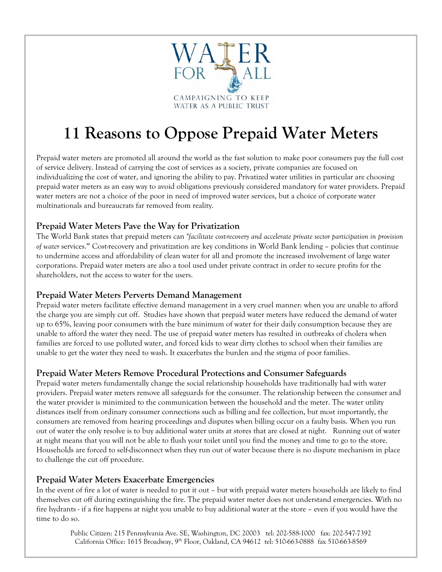

# **11 Reasons to Oppose Prepaid Water Meters**

Prepaid water meters are promoted all around the world as the fast solution to make poor consumers pay the full cost of service delivery. Instead of carrying the cost of services as a society, private companies are focused on individualizing the cost of water, and ignoring the ability to pay. Privatized water utilities in particular are choosing prepaid water meters as an easy way to avoid obligations previously considered mandatory for water providers. Prepaid water meters are not a choice of the poor in need of improved water services, but a choice of corporate water multinationals and bureaucrats far removed from reality.

## **Prepaid Water Meters Pave the Way for Privatization**

The World Bank states that prepaid meters can *"facilitate cost-recovery and accelerate private sector participation in provision of water* services."i Cost-recovery and privatization are key conditions in World Bank lending – policies that continue to undermine access and affordability of clean water for all and promote the increased involvement of large water corporations. Prepaid water meters are also a tool used under private contract in order to secure profits for the shareholders, not the access to water for the users.

## **Prepaid Water Meters Perverts Demand Management**

Prepaid water meters facilitate effective demand management in a very cruel manner: when you are unable to afford the charge you are simply cut off. Studies have shown that prepaid water meters have reduced the demand of water up to 65%, leaving poor consumers with the bare minimum of water for their daily consumption because they are unable to afford the water they need. The use of prepaid water meters has resulted in outbreaks of cholera when families are forced to use polluted water, and forced kids to wear dirty clothes to school when their families are unable to get the water they need to wash. It exacerbates the burden and the stigma of poor families.

## **Prepaid Water Meters Remove Procedural Protections and Consumer Safeguards**

Prepaid water meters fundamentally change the social relationship households have traditionally had with water providers. Prepaid water meters remove all safeguards for the consumer. The relationship between the consumer and the water provider is minimized to the communication between the household and the meter. The water utility distances itself from ordinary consumer connections such as billing and fee collection, but most importantly, the consumers are removed from hearing proceedings and disputes when billing occur on a faulty basis. When you run out of water the only resolve is to buy additional water units at stores that are closed at night. Running out of water at night means that you will not be able to flush your toilet until you find the money and time to go to the store. Households are forced to self-disconnect when they run out of water because there is no dispute mechanism in place to challenge the cut off procedure.

#### **Prepaid Water Meters Exacerbate Emergencies**

In the event of fire a lot of water is needed to put it out – but with prepaid water meters households are likely to find themselves cut off during extinguishing the fire. The prepaid water meter does not understand emergencies. With no fire hydrants - if a fire happens at night you unable to buy additional water at the store – even if you would have the time to do so.

Public Citizen: 215 Pennsylvania Ave. SE, Washington, DC 20003 tel: 202-588-1000 fax: 202-547-7392 California Office: 1615 Broadway, 9<sup>th</sup> Floor, Oakland, CA 94612 tel: 510-663-0888 fax 510-663-8569